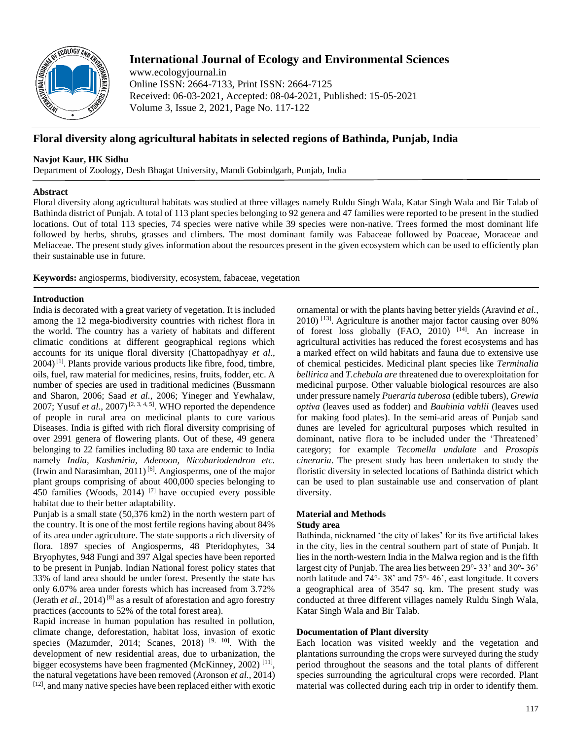

# **International Journal of Ecology and Environmental Sciences**

www.ecologyjournal.in Online ISSN: 2664-7133, Print ISSN: 2664-7125 Received: 06-03-2021, Accepted: 08-04-2021, Published: 15-05-2021 Volume 3, Issue 2, 2021, Page No. 117-122

## **Floral diversity along agricultural habitats in selected regions of Bathinda, Punjab, India**

## **Navjot Kaur, HK Sidhu**

Department of Zoology, Desh Bhagat University, Mandi Gobindgarh, Punjab, India

## **Abstract**

Floral diversity along agricultural habitats was studied at three villages namely Ruldu Singh Wala, Katar Singh Wala and Bir Talab of Bathinda district of Punjab. A total of 113 plant species belonging to 92 genera and 47 families were reported to be present in the studied locations. Out of total 113 species, 74 species were native while 39 species were non-native. Trees formed the most dominant life followed by herbs, shrubs, grasses and climbers. The most dominant family was Fabaceae followed by Poaceae, Moraceae and Meliaceae. The present study gives information about the resources present in the given ecosystem which can be used to efficiently plan their sustainable use in future.

**Keywords:** angiosperms, biodiversity, ecosystem, fabaceae, vegetation

### **Introduction**

India is decorated with a great variety of vegetation. It is included among the 12 mega-biodiversity countries with richest flora in the world. The country has a variety of habitats and different climatic conditions at different geographical regions which accounts for its unique floral diversity (Chattopadhyay *et al*.,  $2004$ <sup>[1]</sup>. Plants provide various products like fibre, food, timbre, oils, fuel, raw material for medicines, resins, fruits, fodder, etc. A number of species are used in traditional medicines (Bussmann and Sharon, 2006; Saad *et al.*, 2006; Yineger and Yewhalaw, 2007; Yusuf *et al.*, 2007)<sup>[2, 3, 4, 5]. WHO reported the dependence</sup> of people in rural area on medicinal plants to cure various Diseases. India is gifted with rich floral diversity comprising of over 2991 genera of flowering plants. Out of these, 49 genera belonging to 22 families including 80 taxa are endemic to India namely *India, Kashmiria, Adenoon, Nicobariodendron etc.*  (Irwin and Narasimhan, 2011)<sup>[6]</sup>. Angiosperms, one of the major plant groups comprising of about 400,000 species belonging to 450 families (Woods, 2014)  $[7]$  have occupied every possible habitat due to their better adaptability.

Punjab is a small state (50,376 km2) in the north western part of the country. It is one of the most fertile regions having about 84% of its area under agriculture. The state supports a rich diversity of flora. 1897 species of Angiosperms, 48 Pteridophytes, 34 Bryophytes, 948 Fungi and 397 Algal species have been reported to be present in Punjab. Indian National forest policy states that 33% of land area should be under forest. Presently the state has only 6.07% area under forests which has increased from 3.72% (Jerath *et al.*, 2014)<sup>[8]</sup> as a result of aforestation and agro forestry practices (accounts to 52% of the total forest area).

Rapid increase in human population has resulted in pollution, climate change, deforestation, habitat loss, invasion of exotic species (Mazumder, 2014; Scanes, 2018)<sup>[9, 10]</sup>. With the development of new residential areas, due to urbanization, the bigger ecosystems have been fragmented (McKinney, 2002)<sup>[11]</sup>, the natural vegetations have been removed (Aronson *et al.,* 2014) [12], and many native species have been replaced either with exotic

ornamental or with the plants having better yields (Aravind *et al.,*   $2010$ ) <sup>[13]</sup>. Agriculture is another major factor causing over  $80\%$ of forest loss globally (FAO, 2010) [14]. An increase in agricultural activities has reduced the forest ecosystems and has a marked effect on wild habitats and fauna due to extensive use of chemical pesticides. Medicinal plant species like *Terminalia bellirica* and *T.chebula are* threatened due to overexploitation for medicinal purpose. Other valuable biological resources are also under pressure namely *Pueraria tuberosa* (edible tubers), *Grewia optiva* (leaves used as fodder) and *Bauhinia vahlii* (leaves used for making food plates). In the semi-arid areas of Punjab sand dunes are leveled for agricultural purposes which resulted in dominant, native flora to be included under the 'Threatened' category; for example *Tecomella undulate* and *Prosopis cineraria*. The present study has been undertaken to study the floristic diversity in selected locations of Bathinda district which can be used to plan sustainable use and conservation of plant diversity.

#### **Material and Methods Study area**

Bathinda, nicknamed 'the city of lakes' for its five artificial lakes in the city, lies in the central southern part of state of Punjab. It lies in the north-western India in the Malwa region and is the fifth largest city of Punjab. The area lies between 29°-33' and 30°-36' north latitude and 74°-38' and 75°-46', east longitude. It covers a geographical area of 3547 sq. km. The present study was conducted at three different villages namely Ruldu Singh Wala, Katar Singh Wala and Bir Talab.

## **Documentation of Plant diversity**

Each location was visited weekly and the vegetation and plantations surrounding the crops were surveyed during the study period throughout the seasons and the total plants of different species surrounding the agricultural crops were recorded. Plant material was collected during each trip in order to identify them.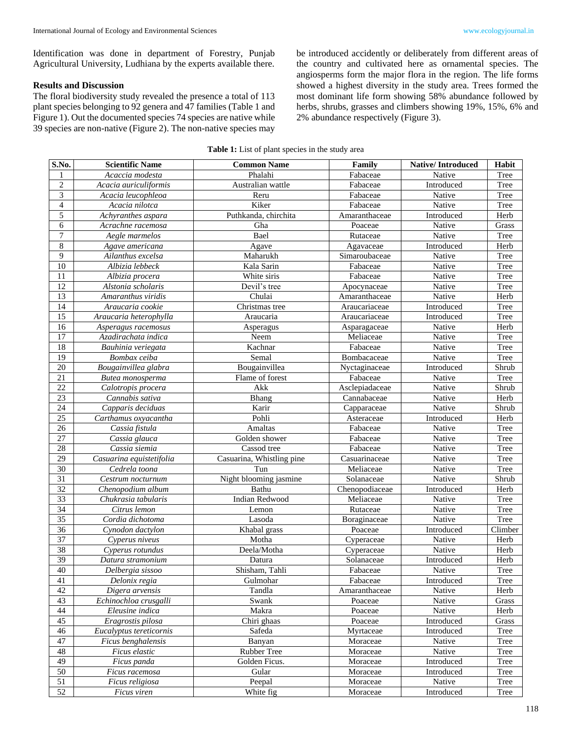Identification was done in department of Forestry, Punjab Agricultural University, Ludhiana by the experts available there.

### **Results and Discussion**

The floral biodiversity study revealed the presence a total of 113 plant species belonging to 92 genera and 47 families (Table 1 and Figure 1). Out the documented species 74 species are native while 39 species are non-native (Figure 2). The non-native species may

be introduced accidently or deliberately from different areas of the country and cultivated here as ornamental species. The angiosperms form the major flora in the region. The life forms showed a highest diversity in the study area. Trees formed the most dominant life form showing 58% abundance followed by herbs, shrubs, grasses and climbers showing 19%, 15%, 6% and 2% abundance respectively (Figure 3).

**Table 1:** List of plant species in the study area

| S.No.                   | <b>Scientific Name</b>   | <b>Common Name</b>        | Family         | <b>Native/Introduced</b> | Habit   |
|-------------------------|--------------------------|---------------------------|----------------|--------------------------|---------|
| 1                       | Acaccia modesta          | Phalahi                   | Fabaceae       | Native                   | Tree    |
| $\overline{2}$          | Acacia auriculiformis    | Australian wattle         | Fabaceae       | Introduced               | Tree    |
| $\overline{\mathbf{3}}$ | Acacia leucophleoa       | Reru                      | Fabaceae       | Native                   | Tree    |
| $\overline{\mathbf{4}}$ | Acacia nilotca           | Kiker                     | Fabaceae       | Native                   | Tree    |
| $\overline{5}$          | Achyranthes aspara       | Puthkanda, chirchita      | Amaranthaceae  | Introduced               | Herb    |
| $\overline{6}$          | Acrachne racemosa        | Gha                       | Poaceae        | Native                   | Grass   |
| $\tau$                  | Aegle marmelos           | Bael                      | Rutaceae       | Native                   | Tree    |
| 8                       | Agave americana          | Agave                     | Agavaceae      | Introduced               | Herb    |
| 9                       | Ailanthus excelsa        | Maharukh                  | Simaroubaceae  | Native                   | Tree    |
| $\overline{10}$         | Albizia lebbeck          | Kala Sarin                | Fabaceae       | Native                   | Tree    |
| 11                      | Albizia procera          | White siris               | Fabaceae       | Native                   | Tree    |
| 12                      | Alstonia scholaris       | Devil's tree              | Apocynaceae    | Native                   | Tree    |
| $\overline{13}$         | Amaranthus viridis       | Chulai                    | Amaranthaceae  | Native                   | Herb    |
| 14                      | Araucaria cookie         | Christmas tree            | Araucariaceae  | Introduced               | Tree    |
| 15                      | Araucaria heterophylla   | Araucaria                 | Araucariaceae  | Introduced               | Tree    |
| 16                      | Asperagus racemosus      | Asperagus                 | Asparagaceae   | Native                   | Herb    |
| 17                      | Azadirachata indica      | Neem                      | Meliaceae      | Native                   | Tree    |
| 18                      | Bauhinia veriegata       | Kachnar                   | Fabaceae       | Native                   | Tree    |
| 19                      | Bombax ceiba             | Semal                     | Bombacaceae    | Native                   | Tree    |
| 20                      | Bougainvillea glabra     | Bougainvillea             | Nyctaginaceae  | Introduced               | Shrub   |
| 21                      | Butea monosperma         | Flame of forest           | Fabaceae       | Native                   | Tree    |
| 22                      | Calotropis procera       | Akk                       | Asclepiadaceae | Native                   | Shrub   |
| 23                      | Cannabis sativa          | Bhang                     | Cannabaceae    | Native                   | Herb    |
| 24                      | Capparis deciduas        | Karir                     | Capparaceae    | Native                   | Shrub   |
| 25                      | Carthamus oxyacantha     | Pohli                     | Asteraceae     | Introduced               | Herb    |
| 26                      | Cassia fistula           | Amaltas                   | Fabaceae       | Native                   | Tree    |
| $\overline{27}$         | Cassia glauca            | Golden shower             | Fabaceae       | Native                   | Tree    |
| 28                      | Cassia siemia            | Cassod tree               | Fabaceae       | Native                   | Tree    |
| $\overline{29}$         | Casuarina equistetifolia | Casuarina, Whistling pine | Casuarinaceae  | Native                   | Tree    |
| 30                      | Cedrela toona            | Tun                       | Meliaceae      | Native                   | Tree    |
| $\overline{31}$         | Cestrum nocturnum        | Night blooming jasmine    | Solanaceae     | Native                   | Shrub   |
| 32                      | Chenopodium album        | Bathu                     | Chenopodiaceae | Introduced               | Herb    |
| 33                      | Chukrasia tabularis      | <b>Indian Redwood</b>     | Meliaceae      | Native                   | Tree    |
| 34                      | Citrus lemon             | Lemon                     | Rutaceae       | Native                   | Tree    |
| 35                      | Cordia dichotoma         | Lasoda                    | Boraginaceae   | Native                   | Tree    |
| 36                      | Cynodon dactylon         | Khabal grass              | Poaceae        | Introduced               | Climber |
| 37                      | Cyperus niveus           | Motha                     | Cyperaceae     | Native                   | Herb    |
| 38                      | Cyperus rotundus         | Deela/Motha               | Cyperaceae     | Native                   | Herb    |
| 39                      | Datura stramonium        | Datura                    | Solanaceae     | Introduced               | Herb    |
| $\overline{40}$         | Delbergia sissoo         | Shisham, Tahli            | Fabaceae       | Native                   | Tree    |
| $\overline{41}$         | Delonix regia            | Gulmohar                  | Fabaceae       | Introduced               | Tree    |
| 42                      | Digera arvensis          | Tandla                    | Amaranthaceae  | Native                   | Herb    |
| 43                      | Echinochloa crusgalli    | Swank                     | Poaceae        | Native                   | Grass   |
| 44                      | Eleusine indica          | Makra                     | Poaceae        | Native                   | Herb    |
| 45                      | Eragrostis pilosa        | Chiri ghaas               | Poaceae        | Introduced               | Grass   |
| 46                      | Eucalyptus tereticornis  | Safeda                    | Myrtaceae      | Introduced               | Tree    |
| 47                      | Ficus benghalensis       | Banyan                    | Moraceae       | Native                   | Tree    |
| 48                      | Ficus elastic            | Rubber Tree               | Moraceae       | Native                   | Tree    |
| 49                      | Ficus panda              | Golden Ficus.             | Moraceae       | Introduced               | Tree    |
| 50                      | Ficus racemosa           | Gular                     | Moraceae       | Introduced               | Tree    |
| 51                      | Ficus religiosa          | Peepal                    | Moraceae       | Native                   | Tree    |
| 52                      | Ficus viren              | White fig                 | Moraceae       | Introduced               | Tree    |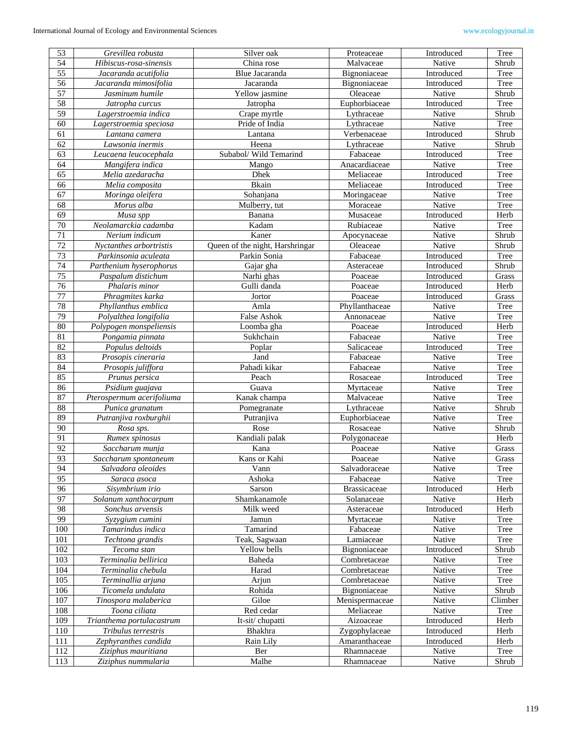| 53              | Grevillea robusta         | Silver oak                      | Proteaceae          | Introduced | Tree    |
|-----------------|---------------------------|---------------------------------|---------------------|------------|---------|
| 54              | Hibiscus-rosa-sinensis    | China rose                      | Malvaceae           | Native     | Shrub   |
| $\overline{55}$ | Jacaranda acutifolia      | Blue Jacaranda                  | Bignoniaceae        | Introduced | Tree    |
| 56              | Jacaranda mimosifolia     | Jacaranda                       | Bignoniaceae        | Introduced | Tree    |
| $\overline{57}$ | Jasminum humile           | Yellow jasmine                  | Oleaceae            | Native     | Shrub   |
| 58              | Jatropha curcus           | Jatropha                        | Euphorbiaceae       | Introduced | Tree    |
| 59              | Lagerstroemia indica      | Crape myrtle                    | Lythraceae          | Native     | Shrub   |
| 60              | Lagerstroemia speciosa    | Pride of India                  | Lythraceae          | Native     | Tree    |
| 61              | Lantana camera            | Lantana                         | Verbenaceae         | Introduced | Shrub   |
| 62              | Lawsonia inermis          | Heena                           | Lythraceae          | Native     | Shrub   |
| 63              | Leucaena leucocephala     | Subabol/ Wild Temarind          | Fabaceae            | Introduced | Tree    |
| 64              | Mangifera indica          | Mango                           | Anacardiaceae       | Native     | Tree    |
| $\overline{65}$ | Melia azedaracha          | Dhek                            | Meliaceae           | Introduced | Tree    |
| 66              | Melia composita           | <b>Bkain</b>                    | Meliaceae           | Introduced | Tree    |
| 67              | Moringa oleifera          | Sohanjana                       | Moringaceae         | Native     | Tree    |
| 68              | Morus alba                | Mulberry, tut                   | Moraceae            | Native     | Tree    |
| 69              | Musa spp                  | Banana                          | Musaceae            | Introduced | Herb    |
| 70              | Neolamarckia cadamba      | Kadam                           | Rubiaceae           | Native     | Tree    |
| $\overline{71}$ | Nerium indicum            | Kaner                           | Apocynaceae         | Native     | Shrub   |
| $72\,$          | Nyctanthes arbortristis   | Queen of the night, Harshringar | Oleaceae            | Native     | Shrub   |
| 73              | Parkinsonia aculeata      | Parkin Sonia                    | Fabaceae            | Introduced | Tree    |
| 74              | Parthenium hyserophorus   | Gajar gha                       | Asteraceae          | Introduced | Shrub   |
| 75              | Paspalum distichum        | Narhi ghas                      | Poaceae             | Introduced | Grass   |
| 76              | Phalaris minor            | Gulli danda                     | Poaceae             | Introduced | Herb    |
| 77              | Phragmites karka          | Jortor                          | Poaceae             | Introduced | Grass   |
| 78              | Phyllanthus emblica       | Amla                            | Phyllanthaceae      | Native     | Tree    |
| 79              | Polyalthea longifolia     | False Ashok                     | Annonaceae          | Native     | Tree    |
| 80              | Polypogen monspeliensis   | Loomba gha                      | Poaceae             | Introduced | Herb    |
| 81              | Pongamia pinnata          | Sukhchain                       | Fabaceae            | Native     | Tree    |
| 82              | Populus deltoids          | Poplar                          | Salicaceae          | Introduced | Tree    |
| 83              | Prosopis cineraria        | Jand                            | Fabaceae            | Native     | Tree    |
| 84              | Prosopis juliffora        | Pahadi kikar                    | Fabaceae            | Native     | Tree    |
| 85              | Prunus persica            | Peach                           | Rosaceae            | Introduced | Tree    |
| 86              | Psidium guajava           | Guava                           | Myrtaceae           | Native     | Tree    |
| 87              | Pterospermum acerifoliuma | Kanak champa                    | Malvaceae           | Native     | Tree    |
| 88              | Punica granatum           | Pomegranate                     | Lythraceae          | Native     | Shrub   |
| 89              | Putranjiva roxburghii     | Putranjiva                      | Euphorbiaceae       | Native     | Tree    |
| 90              | Rosa sps.                 | Rose                            | Rosaceae            | Native     | Shrub   |
| 91              | Rumex spinosus            | Kandiali palak                  | Polygonaceae        |            | Herb    |
| 92              | Saccharum munja           | Kana                            | Poaceae             | Native     | Grass   |
| 93              | Saccharum spontaneum      | Kans or Kahi                    | Poaceae             | Native     | Grass   |
| 94              | Salvadora oleoides        | Vann                            | Salvadoraceae       | Native     | Tree    |
| 95              | Saraca asoca              | Ashoka                          | Fabaceae            | Native     | Tree    |
| 96              | Sisymbrium irio           | Sarson                          | <b>Brassicaceae</b> | Introduced | Herb    |
| $\overline{97}$ | Solanum xanthocarpum      | Shamkanamole                    | Solanaceae          | Native     | Herb    |
| 98              | Sonchus arvensis          | Milk weed                       | Asteraceae          | Introduced | Herb    |
| 99              | Syzygium cumini           | Jamun                           | Myrtaceae           | Native     | Tree    |
| 100             | Tamarindus indica         | Tamarind                        | Fabaceae            | Native     | Tree    |
| 101             | Techtona grandis          | Teak, Sagwaan                   | Lamiaceae           | Native     | Tree    |
| 102             | Tecoma stan               | Yellow bells                    | Bignoniaceae        | Introduced | Shrub   |
| 103             | Terminalia bellirica      | Baheda                          | Combretaceae        | Native     | Tree    |
| 104             | Terminalia chebula        | Harad                           | Combretaceae        | Native     | Tree    |
| 105             | Terminallia arjuna        | Arjun                           | Combretaceae        | Native     | Tree    |
| 106             | Ticomela undulata         | Rohida                          | Bignoniaceae        | Native     | Shrub   |
| 107             | Tinospora malaberica      | Giloe                           | Menispermaceae      | Native     | Climber |
| 108             | Toona ciliata             | Red cedar                       | Meliaceae           | Native     | Tree    |
| 109             | Trianthema portulacastrum | It-sit/chupatti                 | Aizoaceae           | Introduced | Herb    |
| 110             | Tribulus terrestris       | Bhakhra                         | Zygophylaceae       | Introduced | Herb    |
| 111             | Zephyranthes candida      | Rain Lily                       | Amaranthaceae       | Introduced | Herb    |
| 112             | Ziziphus mauritiana       | Ber                             | Rhamnaceae          | Native     | Tree    |
| 113             | Ziziphus nummularia       | Malhe                           | Rhamnaceae          | Native     | Shrub   |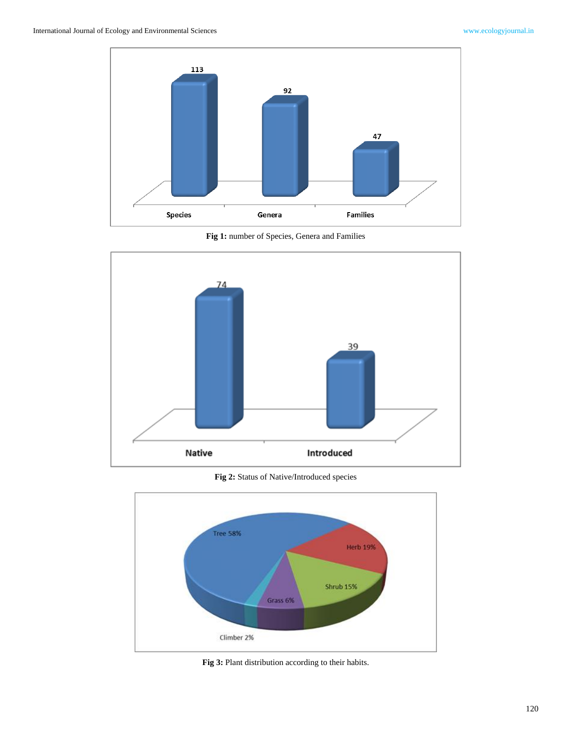

**Fig 1:** number of Species, Genera and Families



**Fig 2:** Status of Native/Introduced species



**Fig 3:** Plant distribution according to their habits.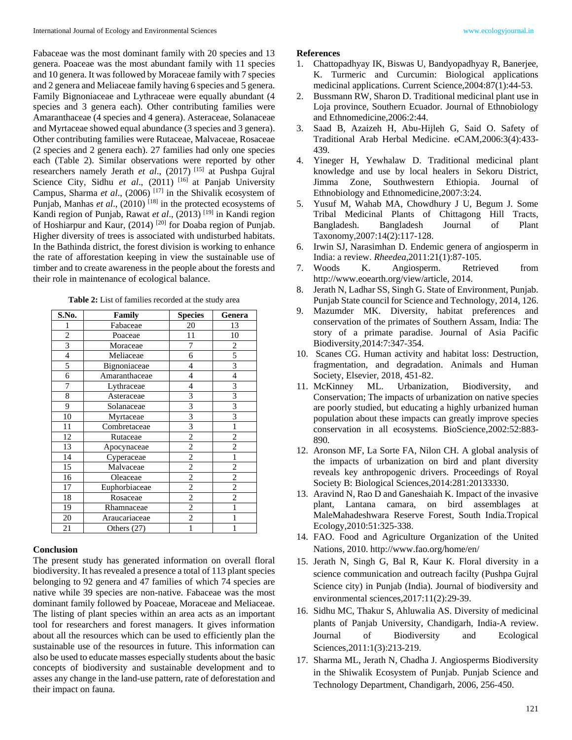Fabaceae was the most dominant family with 20 species and 13 genera. Poaceae was the most abundant family with 11 species and 10 genera. It was followed by Moraceae family with 7 species and 2 genera and Meliaceae family having 6 species and 5 genera. Family Bignoniaceae and Lythraceae were equally abundant (4 species and 3 genera each). Other contributing families were Amaranthaceae (4 species and 4 genera). Asteraceae, Solanaceae and Myrtaceae showed equal abundance (3 species and 3 genera). Other contributing families were Rutaceae, Malvaceae, Rosaceae (2 species and 2 genera each). 27 families had only one species each (Table 2). Similar observations were reported by other researchers namely Jerath *et al*., (2017) [15] at Pushpa Gujral Science City, Sidhu et al., (2011)<sup>[16]</sup> at Panjab University Campus, Sharma *et al*., (2006) [17] in the Shivalik ecosystem of Punjab, Manhas *et al.*, (2010)<sup>[18]</sup> in the protected ecosystems of Kandi region of Punjab, Rawat *et al*., (2013) [19] in Kandi region of Hoshiarpur and Kaur, (2014)<sup>[20]</sup> for Doaba region of Punjab. Higher diversity of trees is associated with undisturbed habitats. In the Bathinda district, the forest division is working to enhance the rate of afforestation keeping in view the sustainable use of timber and to create awareness in the people about the forests and their role in maintenance of ecological balance.

| S.No.          | Family        | <b>Species</b> | Genera         |
|----------------|---------------|----------------|----------------|
|                | Fabaceae      | 20             | 13             |
| $\overline{c}$ | Poaceae       | 11             | 10             |
| 3              | Moraceae      | 7              | 2              |
| $\overline{4}$ | Meliaceae     | 6              | 5              |
| 5              | Bignoniaceae  | 4              | 3              |
| 6              | Amaranthaceae | 4              | 4              |
| 7              | Lythraceae    | $\overline{4}$ | 3              |
| 8              | Asteraceae    | 3              | 3              |
| 9              | Solanaceae    | 3              | 3              |
| 10             | Myrtaceae     | 3              | 3              |
| 11             | Combretaceae  | 3              |                |
| 12             | Rutaceae      | 2              | 2              |
| 13             | Apocynaceae   | $\overline{c}$ | $\overline{c}$ |
| 14             | Cyperaceae    | $\overline{c}$ |                |
| 15             | Malvaceae     | $\overline{c}$ | 2              |
| 16             | Oleaceae      | 2              | 2              |
| 17             | Euphorbiaceae | $\overline{c}$ | $\overline{c}$ |
| 18             | Rosaceae      | 2              | $\overline{2}$ |
| 19             | Rhamnaceae    | $\overline{c}$ | 1              |
| 20             | Araucariaceae | $\overline{c}$ |                |
| 21             | Others $(27)$ | 1              |                |

**Table 2:** List of families recorded at the study area

## **Conclusion**

The present study has generated information on overall floral biodiversity. It has revealed a presence a total of 113 plant species belonging to 92 genera and 47 families of which 74 species are native while 39 species are non-native. Fabaceae was the most dominant family followed by Poaceae, Moraceae and Meliaceae. The listing of plant species within an area acts as an important tool for researchers and forest managers. It gives information about all the resources which can be used to efficiently plan the sustainable use of the resources in future. This information can also be used to educate masses especially students about the basic concepts of biodiversity and sustainable development and to asses any change in the land-use pattern, rate of deforestation and their impact on fauna.

#### **References**

- 1. Chattopadhyay IK, Biswas U, Bandyopadhyay R, Banerjee, K. Turmeric and Curcumin: Biological applications medicinal applications. Current Science,2004:87(1):44-53.
- 2. Bussmann RW, Sharon D. Traditional medicinal plant use in Loja province, Southern Ecuador. Journal of Ethnobiology and Ethnomedicine,2006:2:44.
- 3. Saad B, Azaizeh H, Abu-Hijleh G, Said O. Safety of Traditional Arab Herbal Medicine. eCAM,2006:3(4):433- 439.
- 4. Yineger H, Yewhalaw D. Traditional medicinal plant knowledge and use by local healers in Sekoru District, Jimma Zone, Southwestern Ethiopia. Journal of Ethnobiology and Ethnomedicine,2007:3:24.
- 5. Yusuf M, Wahab MA, Chowdhury J U, Begum J. Some Tribal Medicinal Plants of Chittagong Hill Tracts, Bangladesh. Bangladesh Journal of Plant Taxonomy,2007:14(2):117-128.
- 6. Irwin SJ, Narasimhan D. Endemic genera of angiosperm in India: a review. *Rheedea,*2011:21(1):87-105.
- 7. Woods K. Angiosperm. Retrieved from http://www.eoearth.org/view/article, 2014.
- 8. Jerath N, Ladhar SS, Singh G. State of Environment, Punjab. Punjab State council for Science and Technology, 2014, 126.
- 9. Mazumder MK. Diversity, habitat preferences and conservation of the primates of Southern Assam, India: The story of a primate paradise. Journal of Asia Pacific Biodiversity,2014:7:347-354.
- 10. Scanes CG. Human activity and habitat loss: Destruction, fragmentation, and degradation. Animals and Human Society, Elsevier, 2018, 451-82.
- 11. McKinney ML. Urbanization, Biodiversity, and Conservation; The impacts of urbanization on native species are poorly studied, but educating a highly urbanized human population about these impacts can greatly improve species conservation in all ecosystems. BioScience,2002:52:883- 890.
- 12. Aronson MF, La Sorte FA, Nilon CH. A global analysis of the impacts of urbanization on bird and plant diversity reveals key anthropogenic drivers. Proceedings of Royal Society B: Biological Sciences,2014:281:20133330.
- 13. Aravind N, Rao D and Ganeshaiah K. Impact of the invasive plant, Lantana camara, on bird assemblages at MaleMahadeshwara Reserve Forest, South India.Tropical Ecology,2010:51:325-338.
- 14. FAO. Food and Agriculture Organization of the United Nations, 2010. http://www.fao.org/home/en/
- 15. Jerath N, Singh G, Bal R, Kaur K. Floral diversity in a science communication and outreach facilty (Pushpa Gujral Science city) in Punjab (India). Journal of biodiversity and environmental sciences,2017:11(2):29-39.
- 16. Sidhu MC, Thakur S, Ahluwalia AS. Diversity of medicinal plants of Panjab University, Chandigarh, India-A review. Journal of Biodiversity and Ecological Sciences,2011:1(3):213-219.
- 17. Sharma ML, Jerath N, Chadha J. Angiosperms Biodiversity in the Shiwalik Ecosystem of Punjab. Punjab Science and Technology Department, Chandigarh, 2006, 256-450.